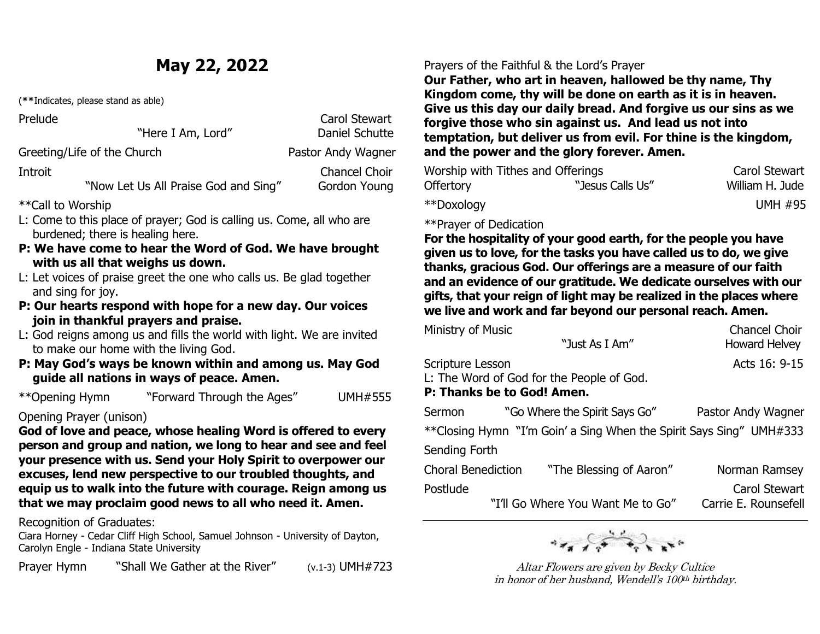# **May 22, 2022**

(**\*\***Indicates, please stand as able)

Prelude Carol Stewart<br>
We can be a set of the contract of the Carol Stewart Daniel Schutte

Greeting/Life of the Church Pastor Andy Wagner

Introit **Chancel Choir** "Now Let Us All Praise God and Sing" Gordon Young

\*\*Call to Worship

- L: Come to this place of prayer; God is calling us. Come, all who are burdened; there is healing here.
- **P: We have come to hear the Word of God. We have brought with us all that weighs us down.**
- L: Let voices of praise greet the one who calls us. Be glad together and sing for joy.
- **P: Our hearts respond with hope for a new day. Our voices join in thankful prayers and praise.**
- L: God reigns among us and fills the world with light. We are invited to make our home with the living God.
- **P: May God's ways be known within and among us. May God guide all nations in ways of peace. Amen.**

\*\*Opening Hymn "Forward Through the Ages" UMH#555

Opening Prayer (unison)

**God of love and peace, whose healing Word is offered to every person and group and nation, we long to hear and see and feel your presence with us. Send your Holy Spirit to overpower our excuses, lend new perspective to our troubled thoughts, and equip us to walk into the future with courage. Reign among us that we may proclaim good news to all who need it. Amen.**

Recognition of Graduates:

Ciara Horney - Cedar Cliff High School, Samuel Johnson - University of Dayton, Carolyn Engle - Indiana State University

"Shall We Gather at the River"  $(v.1-3)$  UMH#723 Praver Hymn

## Prayers of the Faithful & the Lord's Prayer

**Our Father, who art in heaven, hallowed be thy name, Thy Kingdom come, thy will be done on earth as it is in heaven. Give us this day our daily bread. And forgive us our sins as we forgive those who sin against us. And lead us not into temptation, but deliver us from evil. For thine is the kingdom, and the power and the glory forever. Amen.**

|                  | Worship with Tithes and Offerings | Carol Stewart   |
|------------------|-----------------------------------|-----------------|
| <b>Offertory</b> | "Jesus Calls Us"                  | William H. Jude |
| **Doxology       |                                   | <b>UMH #95</b>  |

\*\*Prayer of Dedication

 $\overline{a}$ 

**For the hospitality of your good earth, for the people you have given us to love, for the tasks you have called us to do, we give thanks, gracious God. Our offerings are a measure of our faith and an evidence of our gratitude. We dedicate ourselves with our gifts, that your reign of light may be realized in the places where we live and work and far beyond our personal reach. Amen.**

| Ministry of Music          |                                                                     | <b>Chancel Choir</b> |  |  |  |
|----------------------------|---------------------------------------------------------------------|----------------------|--|--|--|
|                            | "Just As I Am"                                                      | <b>Howard Helvey</b> |  |  |  |
| Scripture Lesson           |                                                                     | Acts 16: 9-15        |  |  |  |
|                            | L: The Word of God for the People of God.                           |                      |  |  |  |
| P: Thanks be to God! Amen. |                                                                     |                      |  |  |  |
| Sermon                     | "Go Where the Spirit Says Go"                                       | Pastor Andy Wagner   |  |  |  |
|                            | **Closing Hymn "I'm Goin' a Sing When the Spirit Says Sing" UMH#333 |                      |  |  |  |
| Sending Forth              |                                                                     |                      |  |  |  |
| <b>Choral Benediction</b>  | "The Blessing of Aaron"                                             | Norman Ramsey        |  |  |  |
| Postlude                   |                                                                     | Carol Stewart        |  |  |  |

"I'll Go Where You Want Me to Go" Carrie E. Rounsefell



Altar Flowers are given by Becky Cultice in honor of her husband, Wendell's 100th birthday.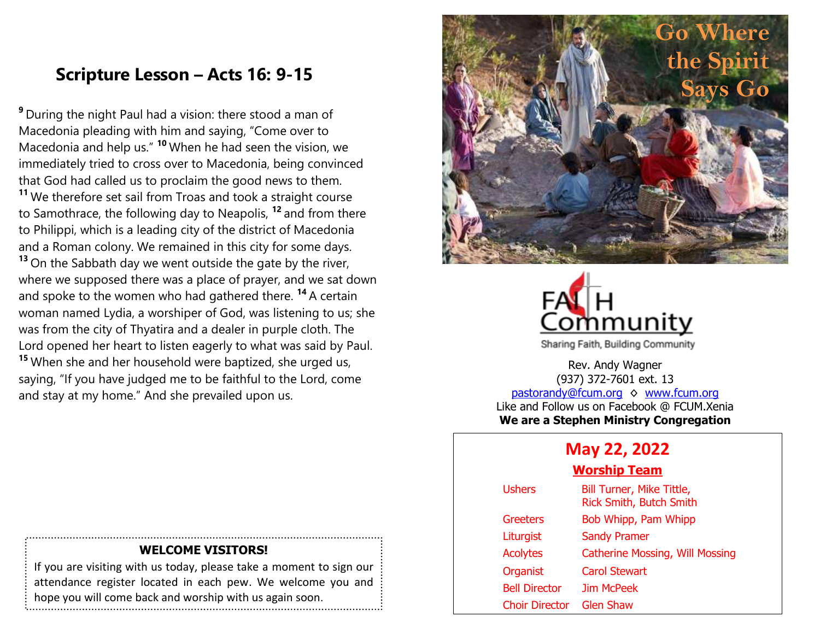## **Scripture Lesson – Acts 16: 9-15**

**<sup>9</sup>** During the night Paul had a vision: there stood a man of Macedonia pleading with him and saying, "Come over to Macedonia and help us." **<sup>10</sup>** When he had seen the vision, we immediately tried to cross over to Macedonia, being convinced that God had called us to proclaim the good news to them. **<sup>11</sup>** We therefore set sail from Troas and took a straight course to Samothrace, the following day to Neapolis, **<sup>12</sup>** and from there to Philippi, which is a leading city of the district of Macedonia and a Roman colony. We remained in this city for some days. **<sup>13</sup>** On the Sabbath day we went outside the gate by the river, where we supposed there was a place of prayer, and we sat down and spoke to the women who had gathered there. **<sup>14</sup>** A certain woman named Lydia, a worshiper of God, was listening to us; she was from the city of Thyatira and a dealer in purple cloth. The Lord opened her heart to listen eagerly to what was said by Paul. **<sup>15</sup>** When she and her household were baptized, she urged us, saying, "If you have judged me to be faithful to the Lord, come and stay at my home." And she prevailed upon us.





Sharing Faith, Building Community

Rev. Andy Wagner (937) 372-7601 ext. 13 [pastorandy@fcum.org](mailto:pastorandy@fcum.org) ♦ [www.fcum.org](http://www.fcum.org/) Like and Follow us on Facebook @ FCUM.Xenia **We are a Stephen Ministry Congregation**

## **May 22, 2022**

### **Worship Team**

| <b>Ushers</b>         | Bill Turner, Mike Tittle,<br>Rick Smith, Butch Smith |
|-----------------------|------------------------------------------------------|
| Greeters              | Bob Whipp, Pam Whipp                                 |
| Liturgist             | <b>Sandy Pramer</b>                                  |
| <b>Acolytes</b>       | <b>Catherine Mossing, Will Mossing</b>               |
| Organist              | Carol Stewart                                        |
| <b>Bell Director</b>  | Jim McPeek                                           |
| <b>Choir Director</b> | <b>Glen Shaw</b>                                     |

### **WELCOME VISITORS!**

If you are visiting with us today, please take a moment to sign our attendance register located in each pew. We welcome you and hope you will come back and worship with us again soon.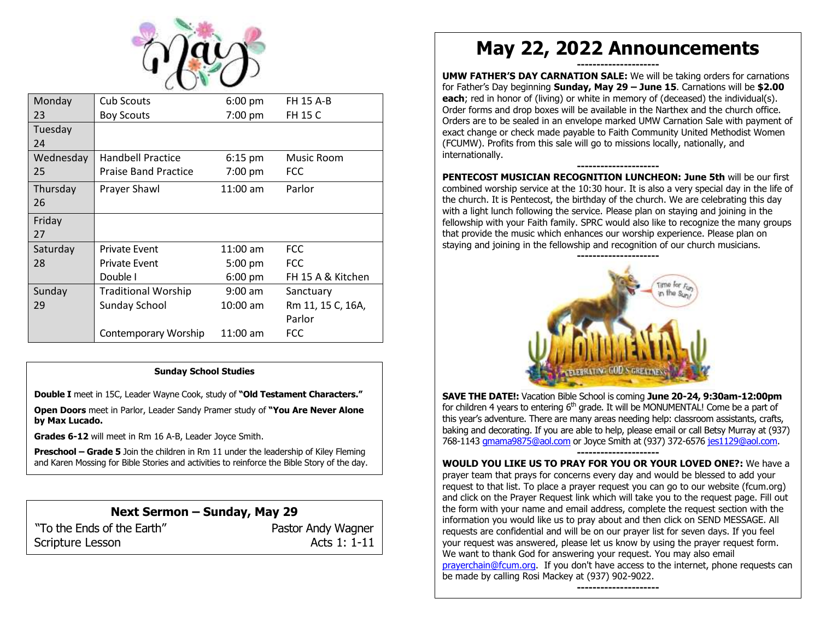

| Monday    | Cub Scouts                  | $6:00$ pm         | <b>FH 15 A-B</b>  |
|-----------|-----------------------------|-------------------|-------------------|
| 23        | <b>Boy Scouts</b>           | 7:00 pm           | FH 15 C           |
| Tuesday   |                             |                   |                   |
| 24        |                             |                   |                   |
| Wednesday | <b>Handbell Practice</b>    | $6:15$ pm         | Music Room        |
| 25        | <b>Praise Band Practice</b> | 7:00 pm           | <b>FCC</b>        |
| Thursday  | Prayer Shawl                | $11:00$ am        | Parlor            |
| 26        |                             |                   |                   |
| Friday    |                             |                   |                   |
| 27        |                             |                   |                   |
| Saturday  | <b>Private Event</b>        | $11:00$ am        | <b>FCC</b>        |
| 28        | <b>Private Event</b>        | $5:00 \text{ pm}$ | <b>FCC</b>        |
|           | Double I                    | $6:00 \text{ pm}$ | FH 15 A & Kitchen |
| Sunday    | <b>Traditional Worship</b>  | $9:00$ am         | Sanctuary         |
| 29        | Sunday School               | $10:00$ am        | Rm 11, 15 C, 16A, |
|           |                             |                   | Parlor            |
|           | Contemporary Worship        | $11:00$ am        | <b>FCC</b>        |

#### **Sunday School Studies**

**Double I** meet in 15C, Leader Wayne Cook, study of **"Old Testament Characters."**

**Open Doors** meet in Parlor, Leader Sandy Pramer study of **"You Are Never Alone by Max Lucado.**

**Grades 6-12** will meet in Rm 16 A-B, Leader Joyce Smith.

**Preschool – Grade 5** Join the children in Rm 11 under the leadership of Kiley Fleming and Karen Mossing for Bible Stories and activities to reinforce the Bible Story of the day.

### **Next Sermon – Sunday, May 29** "To the Ends of the Earth" Pastor Andy Wagner

Scripture Lesson Acts 1: 1-11

# **May 22, 2022 Announcements**

**--------------------- UMW FATHER'S DAY CARNATION SALE:** We will be taking orders for carnations for Father's Day beginning **Sunday, May 29 – June 15**. Carnations will be **\$2.00 each**; red in honor of (living) or white in memory of (deceased) the individual(s). Order forms and drop boxes will be available in the Narthex and the church office. Orders are to be sealed in an envelope marked UMW Carnation Sale with payment of exact change or check made payable to Faith Community United Methodist Women (FCUMW). Profits from this sale will go to missions locally, nationally, and internationally.

**--------------------- PENTECOST MUSICIAN RECOGNITION LUNCHEON: June 5th** will be our first combined worship service at the 10:30 hour. It is also a very special day in the life of the church. It is Pentecost, the birthday of the church. We are celebrating this day with a light lunch following the service. Please plan on staying and joining in the fellowship with your Faith family. SPRC would also like to recognize the many groups that provide the music which enhances our worship experience. Please plan on staying and joining in the fellowship and recognition of our church musicians.



**SAVE THE DATE!:** Vacation Bible School is coming **June 20-24, 9:30am-12:00pm** for children 4 years to entering  $6<sup>th</sup>$  grade. It will be MONUMENTAL! Come be a part of this year's adventure. There are many areas needing help: classroom assistants, crafts, baking and decorating. If you are able to help, please email or call Betsy Murray at (937) 768-1143 [gmama9875@aol.com](mailto:gmama9875@aol.com) or Joyce Smith at (937) 372-657[6 jes1129@aol.com.](mailto:jes1129@aol.com) **---------------------**

**WOULD YOU LIKE US TO PRAY FOR YOU OR YOUR LOVED ONE?:** We have a prayer team that prays for concerns every day and would be blessed to add your request to that list. To place a prayer request you can go to our website (fcum.org) and click on the Prayer Request link which will take you to the request page. Fill out the form with your name and email address, complete the request section with the information you would like us to pray about and then click on SEND MESSAGE. All requests are confidential and will be on our prayer list for seven days. If you feel your request was answered, please let us know by using the prayer request form. We want to thank God for answering your request. You may also email [prayerchain@fcum.org.](mailto:prayerchain@fcum.org) If you don't have access to the internet, phone requests can be made by calling Rosi Mackey at (937) 902-9022.

**---------------------**